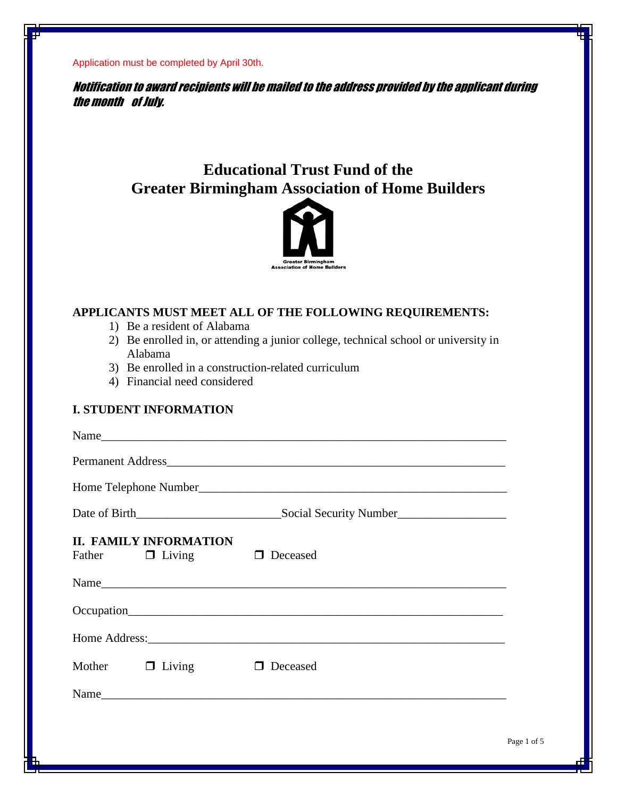Notification to award recipients will be mailed to the address provided by the applicant during the month of July.

# **Educational Trust Fund of the Greater Birmingham Association of Home Builders**



## **APPLICANTS MUST MEET ALL OF THE FOLLOWING REQUIREMENTS:**

- 1) Be a resident of Alabama
- 2) Be enrolled in, or attending a junior college, technical school or university in Alabama
- 3) Be enrolled in a construction-related curriculum
- 4) Financial need considered

## **I. STUDENT INFORMATION**

|                      | <b>II. FAMILY INFORMATION</b><br>Father $\Box$ Living $\Box$ Deceased |          |  |  |  |  |
|----------------------|-----------------------------------------------------------------------|----------|--|--|--|--|
|                      |                                                                       |          |  |  |  |  |
|                      |                                                                       |          |  |  |  |  |
|                      |                                                                       |          |  |  |  |  |
| Mother $\Box$ Living |                                                                       | Deceased |  |  |  |  |
|                      |                                                                       | Name     |  |  |  |  |
|                      |                                                                       |          |  |  |  |  |
|                      |                                                                       | Р        |  |  |  |  |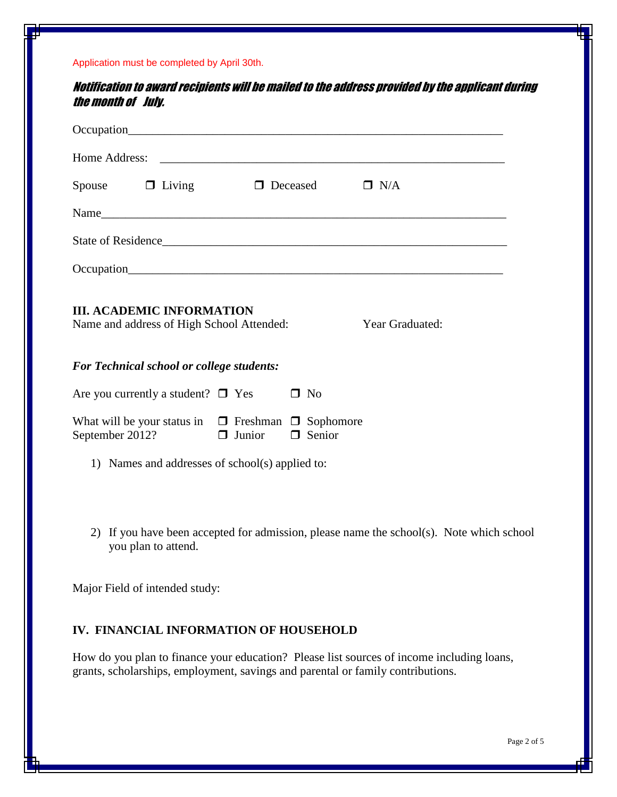Notification to award recipients will be mailed to the address provided by the applicant during the month of July.

| Spouse $\Box$ Living $\Box$ Deceased                                                             |               |               | $\Box$ N/A |  |  |  |  |
|--------------------------------------------------------------------------------------------------|---------------|---------------|------------|--|--|--|--|
|                                                                                                  |               |               |            |  |  |  |  |
| State of Residence                                                                               |               |               |            |  |  |  |  |
|                                                                                                  |               |               |            |  |  |  |  |
| <b>III. ACADEMIC INFORMATION</b><br>Name and address of High School Attended:<br>Year Graduated: |               |               |            |  |  |  |  |
| <b>For Technical school or college students:</b>                                                 |               |               |            |  |  |  |  |
| Are you currently a student? $\Box$ Yes                                                          |               | $\Box$ No     |            |  |  |  |  |
| What will be your status in $\Box$ Freshman $\Box$ Sophomore<br>September 2012?                  | $\Box$ Junior | $\Box$ Senior |            |  |  |  |  |
| 1) Names and addresses of school(s) applied to:                                                  |               |               |            |  |  |  |  |

2) If you have been accepted for admission, please name the school(s). Note which school you plan to attend.

Major Field of intended study:

#### **IV. FINANCIAL INFORMATION OF HOUSEHOLD**

How do you plan to finance your education? Please list sources of income including loans, grants, scholarships, employment, savings and parental or family contributions.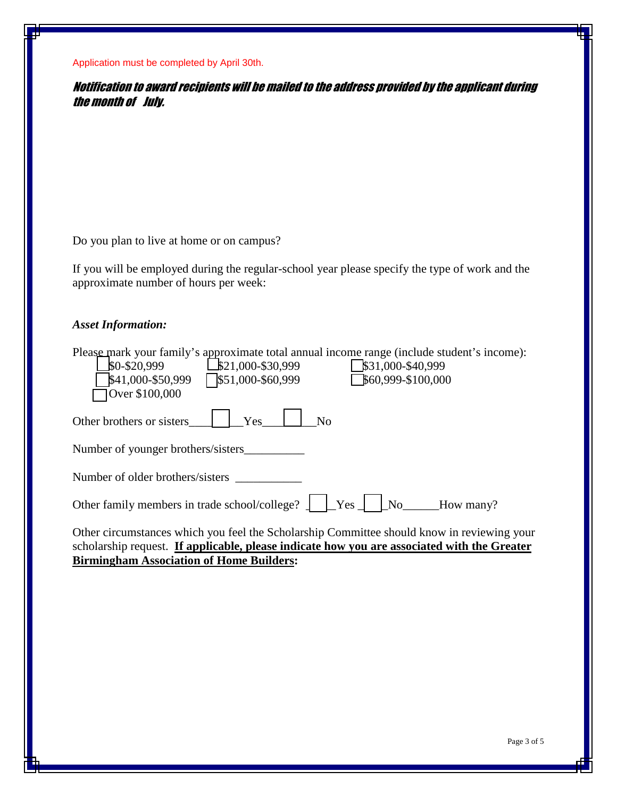Notification to award recipients will be mailed to the address provided by the applicant during the month of July.

Do you plan to live at home or on campus?

If you will be employed during the regular-school year please specify the type of work and the approximate number of hours per week:

#### *Asset Information:*

| Please mark your family's approximate total annual income range (include student's income):<br>\$0-\$20,999<br>$$21,000-S30,999$<br>$$31,000-S40,999$<br>\$41,000-\$50,999<br>$\sqrt{$}51,000 - $60,999$<br>\$60,999-\$100,000<br>Over \$100,000 |
|--------------------------------------------------------------------------------------------------------------------------------------------------------------------------------------------------------------------------------------------------|
| Other brothers or sisters<br>Yes<br>No                                                                                                                                                                                                           |
| Number of younger brothers/sisters                                                                                                                                                                                                               |
| Number of older brothers/sisters                                                                                                                                                                                                                 |
| Other family members in trade school/college? $\Box$<br>$Yes$  <br>No<br>How many?                                                                                                                                                               |
| $\cdots$ $\cdots$ $\cdots$<br>$\cdot$ . 1 111                                                                                                                                                                                                    |

Other circumstances which you feel the Scholarship Committee should know in reviewing your scholarship request. **If applicable, please indicate how you are associated with the Greater Birmingham Association of Home Builders:**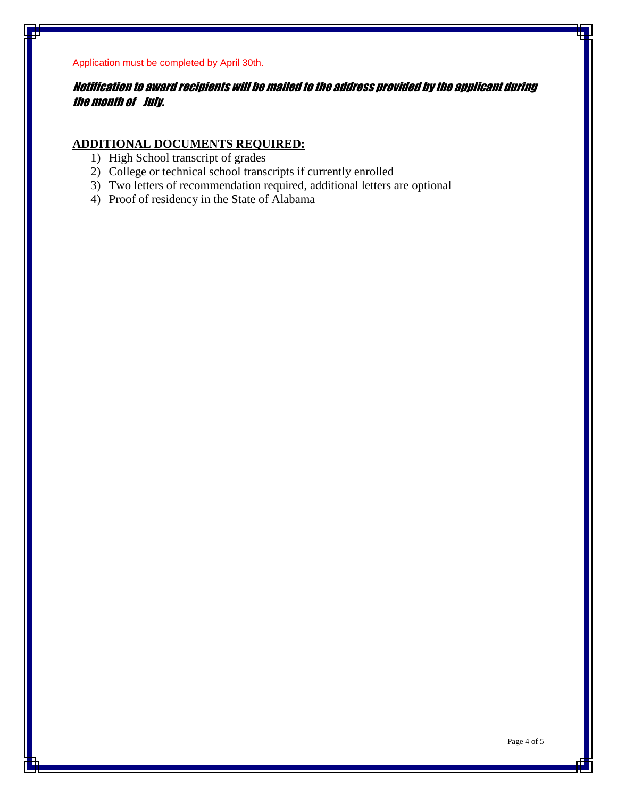Notification to award recipients will be mailed to the address provided by the applicant during the month of July.

## **ADDITIONAL DOCUMENTS REQUIRED:**

- 1) High School transcript of grades
- 2) College or technical school transcripts if currently enrolled
- 3) Two letters of recommendation required, additional letters are optional
- 4) Proof of residency in the State of Alabama